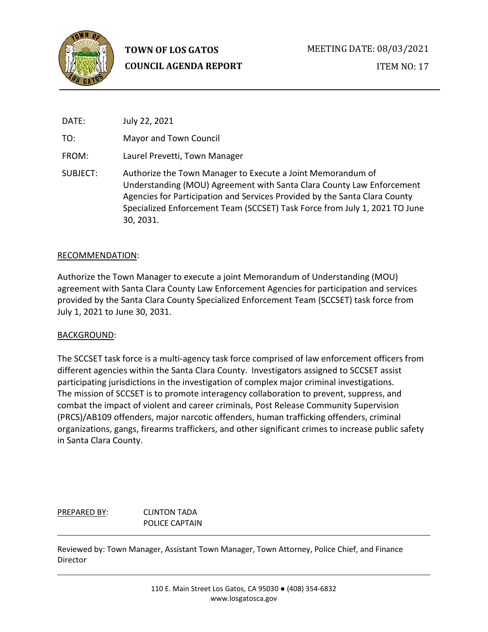

ITEM NO: 17

| DATE:    | July 22, 2021                                                                                                                                                                                                                                                                                                 |
|----------|---------------------------------------------------------------------------------------------------------------------------------------------------------------------------------------------------------------------------------------------------------------------------------------------------------------|
| TO:      | Mayor and Town Council                                                                                                                                                                                                                                                                                        |
| FROM:    | Laurel Prevetti, Town Manager                                                                                                                                                                                                                                                                                 |
| SUBJECT: | Authorize the Town Manager to Execute a Joint Memorandum of<br>Understanding (MOU) Agreement with Santa Clara County Law Enforcement<br>Agencies for Participation and Services Provided by the Santa Clara County<br>Specialized Enforcement Team (SCCSET) Task Force from July 1, 2021 TO June<br>30, 2031. |

#### RECOMMENDATION:

Authorize the Town Manager to execute a joint Memorandum of Understanding (MOU) agreement with Santa Clara County Law Enforcement Agencies for participation and services provided by the Santa Clara County Specialized Enforcement Team (SCCSET) task force from July 1, 2021 to June 30, 2031.

#### BACKGROUND:

The SCCSET task force is a multi-agency task force comprised of law enforcement officers from different agencies within the Santa Clara County. Investigators assigned to SCCSET assist participating jurisdictions in the investigation of complex major criminal investigations. The mission of SCCSET is to promote interagency collaboration to prevent, suppress, and combat the impact of violent and career criminals, Post Release Community Supervision (PRCS)/AB109 offenders, major narcotic offenders, human trafficking offenders, criminal organizations, gangs, firearms traffickers, and other significant crimes to increase public safety in Santa Clara County.

#### PREPARED BY: CLINTON TADA POLICE CAPTAIN

Reviewed by: Town Manager, Assistant Town Manager, Town Attorney, Police Chief, and Finance Director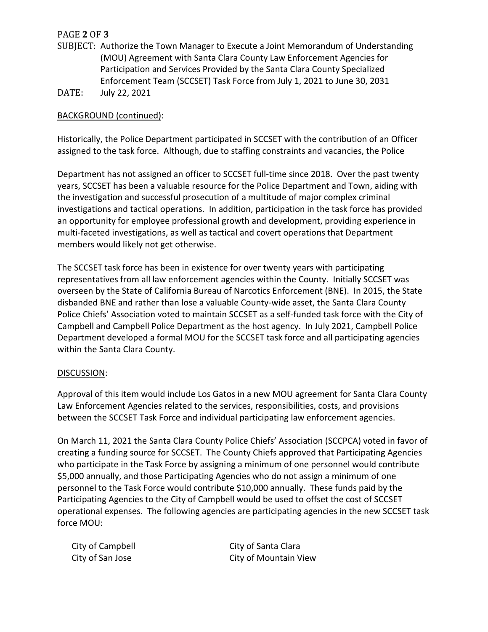# PAGE **2** OF **3**

- SUBJECT: Authorize the Town Manager to Execute a Joint Memorandum of Understanding (MOU) Agreement with Santa Clara County Law Enforcement Agencies for Participation and Services Provided by the Santa Clara County Specialized Enforcement Team (SCCSET) Task Force from July 1, 2021 to June 30, 2031
- DATE: July 22, 2021

# BACKGROUND (continued):

Historically, the Police Department participated in SCCSET with the contribution of an Officer assigned to the task force. Although, due to staffing constraints and vacancies, the Police

Department has not assigned an officer to SCCSET full-time since 2018. Over the past twenty years, SCCSET has been a valuable resource for the Police Department and Town, aiding with the investigation and successful prosecution of a multitude of major complex criminal investigations and tactical operations. In addition, participation in the task force has provided an opportunity for employee professional growth and development, providing experience in multi-faceted investigations, as well as tactical and covert operations that Department members would likely not get otherwise.

The SCCSET task force has been in existence for over twenty years with participating representatives from all law enforcement agencies within the County. Initially SCCSET was overseen by the State of California Bureau of Narcotics Enforcement (BNE). In 2015, the State disbanded BNE and rather than lose a valuable County-wide asset, the Santa Clara County Police Chiefs' Association voted to maintain SCCSET as a self-funded task force with the City of Campbell and Campbell Police Department as the host agency. In July 2021, Campbell Police Department developed a formal MOU for the SCCSET task force and all participating agencies within the Santa Clara County.

## DISCUSSION:

Approval of this item would include Los Gatos in a new MOU agreement for Santa Clara County Law Enforcement Agencies related to the services, responsibilities, costs, and provisions between the SCCSET Task Force and individual participating law enforcement agencies.

On March 11, 2021 the Santa Clara County Police Chiefs' Association (SCCPCA) voted in favor of creating a funding source for SCCSET. The County Chiefs approved that Participating Agencies who participate in the Task Force by assigning a minimum of one personnel would contribute \$5,000 annually, and those Participating Agencies who do not assign a minimum of one personnel to the Task Force would contribute \$10,000 annually. These funds paid by the Participating Agencies to the City of Campbell would be used to offset the cost of SCCSET operational expenses. The following agencies are participating agencies in the new SCCSET task force MOU:

City of Campbell City of Santa Clara City of San Jose City of Mountain View